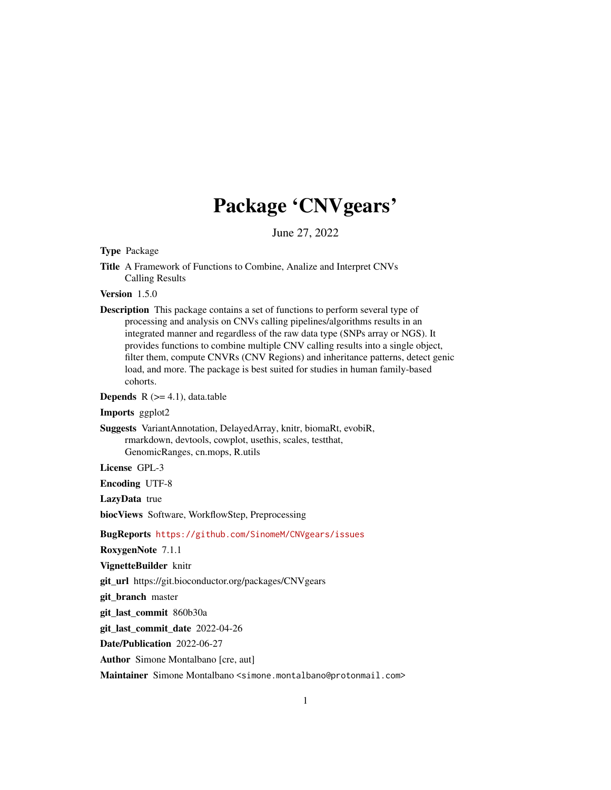# Package 'CNVgears'

June 27, 2022

<span id="page-0-0"></span>Type Package

Title A Framework of Functions to Combine, Analize and Interpret CNVs Calling Results

Version 1.5.0

Description This package contains a set of functions to perform several type of processing and analysis on CNVs calling pipelines/algorithms results in an integrated manner and regardless of the raw data type (SNPs array or NGS). It provides functions to combine multiple CNV calling results into a single object, filter them, compute CNVRs (CNV Regions) and inheritance patterns, detect genic load, and more. The package is best suited for studies in human family-based cohorts.

**Depends**  $R$  ( $>= 4.1$ ), data.table

Imports ggplot2

Suggests VariantAnnotation, DelayedArray, knitr, biomaRt, evobiR, rmarkdown, devtools, cowplot, usethis, scales, testthat, GenomicRanges, cn.mops, R.utils

License GPL-3

Encoding UTF-8

LazyData true

biocViews Software, WorkflowStep, Preprocessing

BugReports <https://github.com/SinomeM/CNVgears/issues>

RoxygenNote 7.1.1

VignetteBuilder knitr

git\_url https://git.bioconductor.org/packages/CNVgears

git\_branch master

git\_last\_commit 860b30a

git\_last\_commit\_date 2022-04-26

Date/Publication 2022-06-27

Author Simone Montalbano [cre, aut]

Maintainer Simone Montalbano <simone.montalbano@protonmail.com>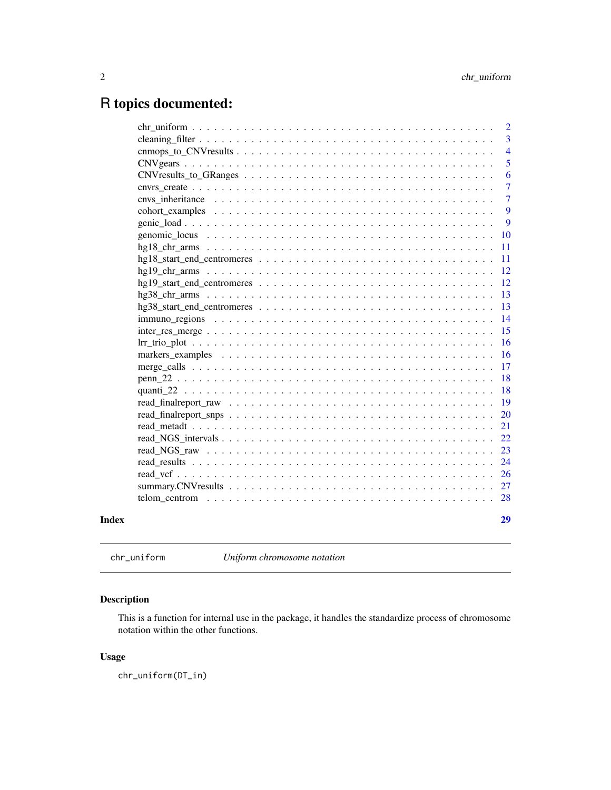## <span id="page-1-0"></span>R topics documented:

|       |                                                                                                               | $\overline{2}$ |
|-------|---------------------------------------------------------------------------------------------------------------|----------------|
|       |                                                                                                               | 3              |
|       |                                                                                                               | $\overline{4}$ |
|       |                                                                                                               | 5              |
|       | $CNV results_to_GRanges \dots \dots \dots \dots \dots \dots \dots \dots \dots \dots \dots \dots \dots \dots$  | 6              |
|       |                                                                                                               | 7              |
|       |                                                                                                               | 7              |
|       |                                                                                                               | 9              |
|       |                                                                                                               | 9              |
|       |                                                                                                               | <b>10</b>      |
|       |                                                                                                               | 11             |
|       |                                                                                                               | 11             |
|       |                                                                                                               | 12             |
|       |                                                                                                               | 12             |
|       |                                                                                                               | 13             |
|       |                                                                                                               | 13             |
|       |                                                                                                               | 14             |
|       | $inter\_res\_merge \dots \dots \dots \dots \dots \dots \dots \dots \dots \dots \dots \dots \dots \dots \dots$ | 15             |
|       |                                                                                                               | 16             |
|       |                                                                                                               | 16             |
|       |                                                                                                               | 17             |
|       |                                                                                                               | 18             |
|       |                                                                                                               | 18             |
|       |                                                                                                               | 19             |
|       |                                                                                                               | 20             |
|       |                                                                                                               | 21             |
|       |                                                                                                               | 22             |
|       |                                                                                                               | 23             |
|       |                                                                                                               | 24             |
|       |                                                                                                               | 26             |
|       |                                                                                                               |                |
|       |                                                                                                               | 28             |
| Index |                                                                                                               | 29             |

chr\_uniform *Uniform chromosome notation*

## Description

This is a function for internal use in the package, it handles the standardize process of chromosome notation within the other functions.

#### Usage

chr\_uniform(DT\_in)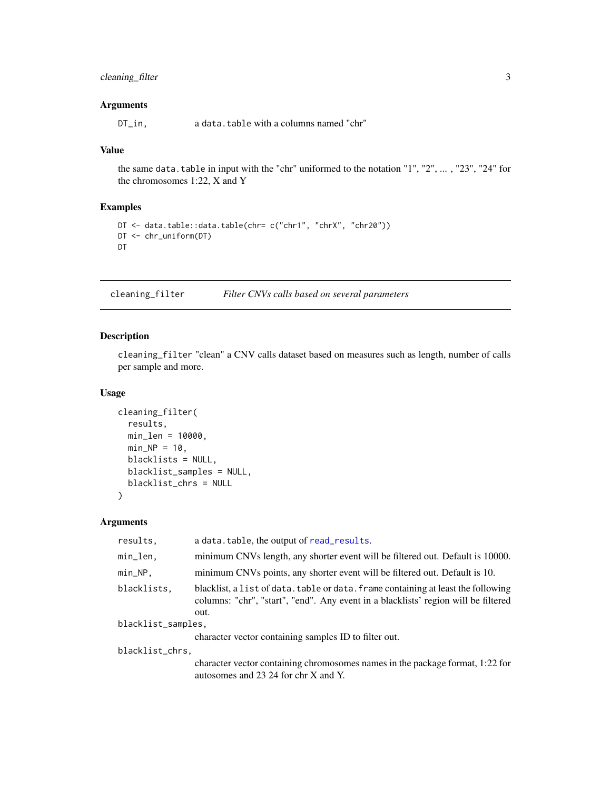#### <span id="page-2-0"></span>cleaning\_filter 3

#### Arguments

DT\_in, a data.table with a columns named "chr"

#### Value

the same data.table in input with the "chr" uniformed to the notation "1", "2", ... , "23", "24" for the chromosomes 1:22, X and Y

#### Examples

```
DT <- data.table::data.table(chr= c("chr1", "chrX", "chr20"))
DT <- chr_uniform(DT)
DT
```
<span id="page-2-1"></span>cleaning\_filter *Filter CNVs calls based on several parameters*

#### Description

cleaning\_filter "clean" a CNV calls dataset based on measures such as length, number of calls per sample and more.

#### Usage

```
cleaning_filter(
  results,
 min_len = 10000,
 min_N = 10,
 blacklists = NULL,
 blacklist_samples = NULL,
 blacklist_chrs = NULL
\lambda
```
#### Arguments

| results.           | a data.table, the output of read_results.                                                                                                                                       |  |
|--------------------|---------------------------------------------------------------------------------------------------------------------------------------------------------------------------------|--|
| min_len,           | minimum CNVs length, any shorter event will be filtered out. Default is 10000.                                                                                                  |  |
| min_NP,            | minimum CNVs points, any shorter event will be filtered out. Default is 10.                                                                                                     |  |
| blacklists.        | blacklist, a list of data. table or data. frame containing at least the following<br>columns: "chr", "start", "end". Any event in a blacklists' region will be filtered<br>out. |  |
| blacklist_samples, |                                                                                                                                                                                 |  |
|                    | character vector containing samples ID to filter out.                                                                                                                           |  |
| blacklist_chrs,    |                                                                                                                                                                                 |  |
|                    | character vector containing chromosomes names in the package format, 1:22 for<br>autosomes and 23 24 for chr X and Y.                                                           |  |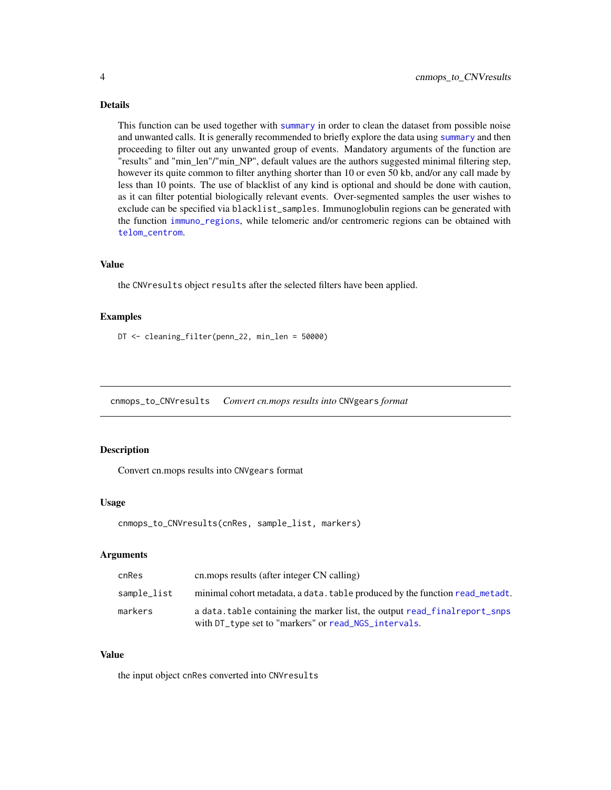#### <span id="page-3-0"></span>Details

This function can be used together with [summary](#page-0-0) in order to clean the dataset from possible noise and unwanted calls. It is generally recommended to briefly explore the data using [summary](#page-0-0) and then proceeding to filter out any unwanted group of events. Mandatory arguments of the function are "results" and "min\_len"/"min\_NP", default values are the authors suggested minimal filtering step, however its quite common to filter anything shorter than 10 or even 50 kb, and/or any call made by less than 10 points. The use of blacklist of any kind is optional and should be done with caution, as it can filter potential biologically relevant events. Over-segmented samples the user wishes to exclude can be specified via blacklist\_samples. Immunoglobulin regions can be generated with the function [immuno\\_regions](#page-13-1), while telomeric and/or centromeric regions can be obtained with [telom\\_centrom](#page-27-1).

#### Value

the CNVresults object results after the selected filters have been applied.

#### Examples

DT <- cleaning\_filter(penn\_22, min\_len = 50000)

cnmops\_to\_CNVresults *Convert cn.mops results into* CNVgears *format*

#### Description

Convert cn.mops results into CNVgears format

#### Usage

```
cnmops_to_CNVresults(cnRes, sample_list, markers)
```
#### Arguments

| cnRes       | cn. mops results (after integer CN calling)                                                                                         |
|-------------|-------------------------------------------------------------------------------------------------------------------------------------|
| sample_list | minimal cohort metadata, a data. table produced by the function read_metadt.                                                        |
| markers     | a data, table containing the marker list, the output read final report snps<br>with DT_type set to "markers" or read_NGS_intervals. |

#### Value

the input object cnRes converted into CNVresults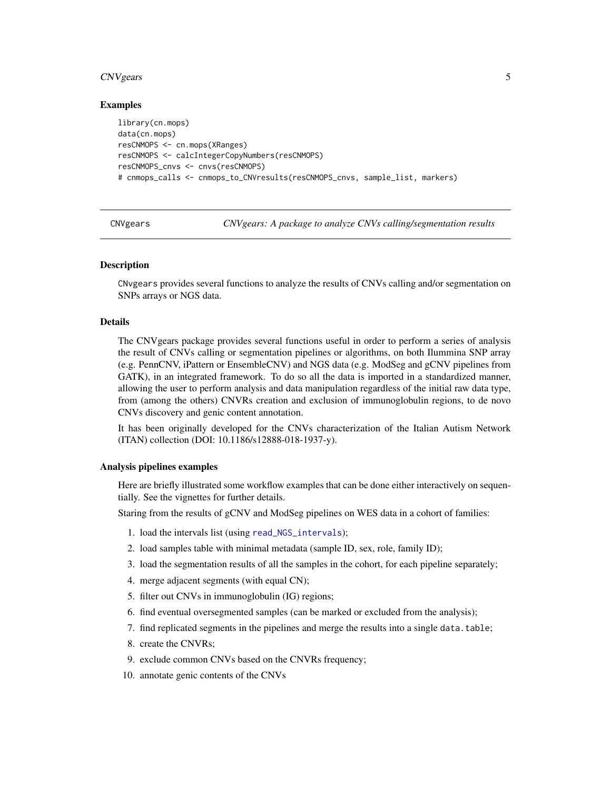#### <span id="page-4-0"></span>CNVgears 5

#### Examples

```
library(cn.mops)
data(cn.mops)
resCNMOPS <- cn.mops(XRanges)
resCNMOPS <- calcIntegerCopyNumbers(resCNMOPS)
resCNMOPS_cnvs <- cnvs(resCNMOPS)
# cnmops_calls <- cnmops_to_CNVresults(resCNMOPS_cnvs, sample_list, markers)
```
CNVgears *CNVgears: A package to analyze CNVs calling/segmentation results*

#### **Description**

CNvgears provides several functions to analyze the results of CNVs calling and/or segmentation on SNPs arrays or NGS data.

#### Details

The CNVgears package provides several functions useful in order to perform a series of analysis the result of CNVs calling or segmentation pipelines or algorithms, on both Ilummina SNP array (e.g. PennCNV, iPattern or EnsembleCNV) and NGS data (e.g. ModSeg and gCNV pipelines from GATK), in an integrated framework. To do so all the data is imported in a standardized manner, allowing the user to perform analysis and data manipulation regardless of the initial raw data type, from (among the others) CNVRs creation and exclusion of immunoglobulin regions, to de novo CNVs discovery and genic content annotation.

It has been originally developed for the CNVs characterization of the Italian Autism Network (ITAN) collection (DOI: 10.1186/s12888-018-1937-y).

#### Analysis pipelines examples

Here are briefly illustrated some workflow examples that can be done either interactively on sequentially. See the vignettes for further details.

Staring from the results of gCNV and ModSeg pipelines on WES data in a cohort of families:

- 1. load the intervals list (using [read\\_NGS\\_intervals](#page-21-1));
- 2. load samples table with minimal metadata (sample ID, sex, role, family ID);
- 3. load the segmentation results of all the samples in the cohort, for each pipeline separately;
- 4. merge adjacent segments (with equal CN);
- 5. filter out CNVs in immunoglobulin (IG) regions;
- 6. find eventual oversegmented samples (can be marked or excluded from the analysis);
- 7. find replicated segments in the pipelines and merge the results into a single data.table;
- 8. create the CNVRs;
- 9. exclude common CNVs based on the CNVRs frequency;
- 10. annotate genic contents of the CNVs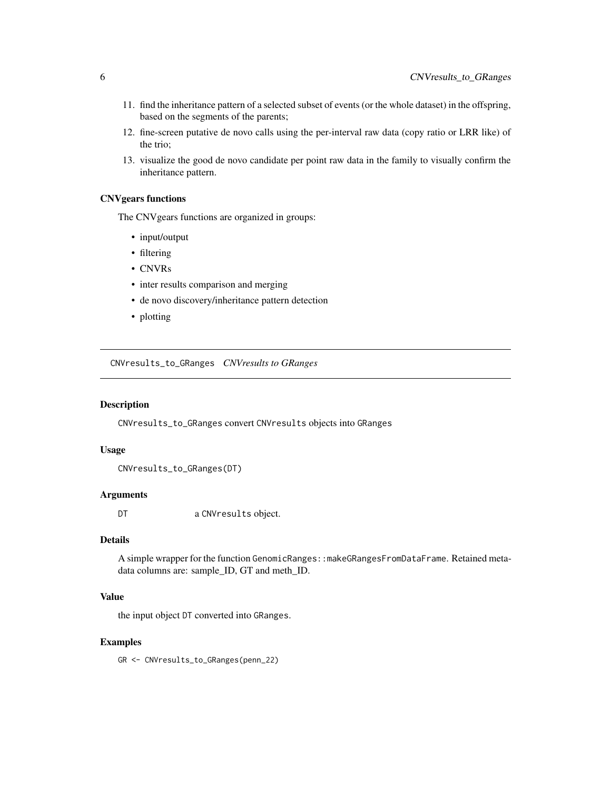- <span id="page-5-0"></span>11. find the inheritance pattern of a selected subset of events (or the whole dataset) in the offspring, based on the segments of the parents;
- 12. fine-screen putative de novo calls using the per-interval raw data (copy ratio or LRR like) of the trio;
- 13. visualize the good de novo candidate per point raw data in the family to visually confirm the inheritance pattern.

#### CNVgears functions

The CNVgears functions are organized in groups:

- input/output
- filtering
- CNVRs
- inter results comparison and merging
- de novo discovery/inheritance pattern detection
- plotting

CNVresults\_to\_GRanges *CNVresults to GRanges*

#### Description

CNVresults\_to\_GRanges convert CNVresults objects into GRanges

#### Usage

CNVresults\_to\_GRanges(DT)

#### Arguments

DT a CNVresults object.

#### Details

A simple wrapper for the function GenomicRanges::makeGRangesFromDataFrame. Retained metadata columns are: sample\_ID, GT and meth\_ID.

#### Value

the input object DT converted into GRanges.

#### Examples

GR <- CNVresults\_to\_GRanges(penn\_22)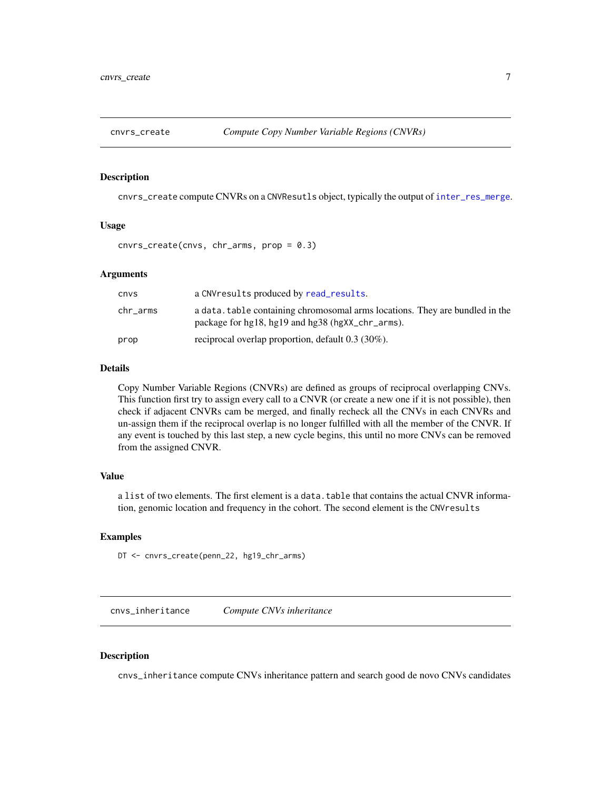<span id="page-6-0"></span>

cnvrs\_create compute CNVRs on a CNVResutls object, typically the output of [inter\\_res\\_merge](#page-14-1).

#### Usage

cnvrs\_create(cnvs, chr\_arms, prop = 0.3)

#### Arguments

| cnvs     | a CNV results produced by read_results.                                                                                          |
|----------|----------------------------------------------------------------------------------------------------------------------------------|
| chr_arms | a data. table containing chromosomal arms locations. They are bundled in the<br>package for hg18, hg19 and hg38 (hgXX_chr_arms). |
| prop     | reciprocal overlap proportion, default $0.3$ (30%).                                                                              |

#### Details

Copy Number Variable Regions (CNVRs) are defined as groups of reciprocal overlapping CNVs. This function first try to assign every call to a CNVR (or create a new one if it is not possible), then check if adjacent CNVRs cam be merged, and finally recheck all the CNVs in each CNVRs and un-assign them if the reciprocal overlap is no longer fulfilled with all the member of the CNVR. If any event is touched by this last step, a new cycle begins, this until no more CNVs can be removed from the assigned CNVR.

#### Value

a list of two elements. The first element is a data.table that contains the actual CNVR information, genomic location and frequency in the cohort. The second element is the CNVresults

#### Examples

```
DT <- cnvrs_create(penn_22, hg19_chr_arms)
```
cnvs\_inheritance *Compute CNVs inheritance*

#### Description

cnvs\_inheritance compute CNVs inheritance pattern and search good de novo CNVs candidates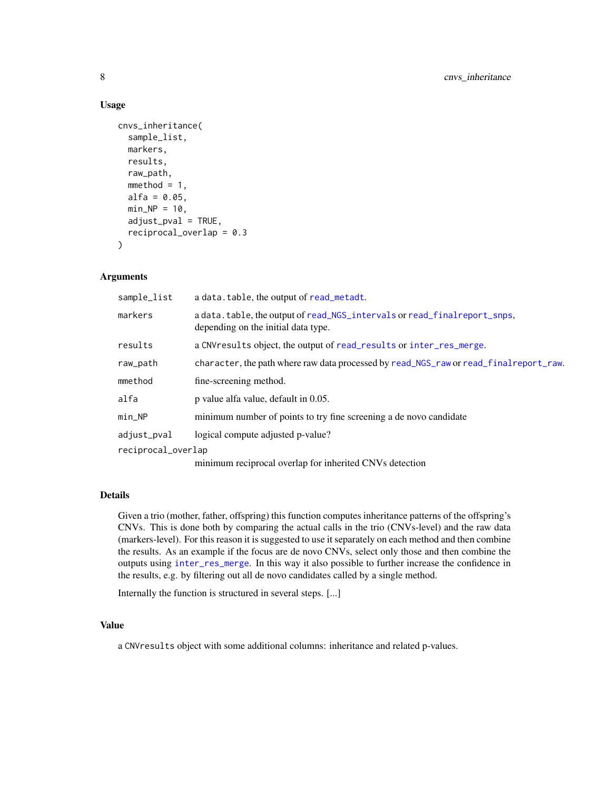#### Usage

```
cnvs_inheritance(
  sample_list,
  markers,
  results,
  raw_path,
  mmethod = 1,
  alfa = 0.05,
  min\_NP = 10,
  adiust_pval = TRUE,reciprocal_overlap = 0.3
)
```
#### Arguments

| sample_list        | a data. table, the output of read_metadt.                                                                        |
|--------------------|------------------------------------------------------------------------------------------------------------------|
| markers            | a data.table, the output of read_NGS_intervals or read_final report_snps,<br>depending on the initial data type. |
| results            | a CNV results object, the output of read_results or inter_res_merge.                                             |
| raw_path           | character, the path where raw data processed by read_NGS_raw or read_final report_raw.                           |
| mmethod            | fine-screening method.                                                                                           |
| alfa               | p value alfa value, default in 0.05.                                                                             |
| min_NP             | minimum number of points to try fine screening a de novo candidate                                               |
| adjust_pval        | logical compute adjusted p-value?                                                                                |
| reciprocal_overlap |                                                                                                                  |
|                    | minimum reciprocal overlap for inherited CNVs detection                                                          |

#### Details

Given a trio (mother, father, offspring) this function computes inheritance patterns of the offspring's CNVs. This is done both by comparing the actual calls in the trio (CNVs-level) and the raw data (markers-level). For this reason it is suggested to use it separately on each method and then combine the results. As an example if the focus are de novo CNVs, select only those and then combine the outputs using [inter\\_res\\_merge](#page-14-1). In this way it also possible to further increase the confidence in the results, e.g. by filtering out all de novo candidates called by a single method.

Internally the function is structured in several steps. [...]

#### Value

a CNVresults object with some additional columns: inheritance and related p-values.

<span id="page-7-0"></span>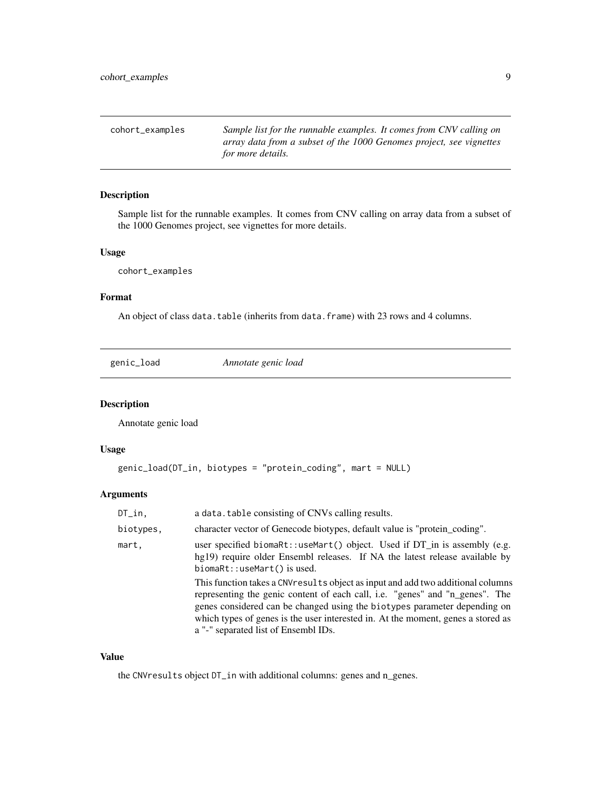<span id="page-8-0"></span>cohort\_examples *Sample list for the runnable examples. It comes from CNV calling on array data from a subset of the 1000 Genomes project, see vignettes for more details.*

#### Description

Sample list for the runnable examples. It comes from CNV calling on array data from a subset of the 1000 Genomes project, see vignettes for more details.

#### Usage

cohort\_examples

#### Format

An object of class data.table (inherits from data.frame) with 23 rows and 4 columns.

genic\_load *Annotate genic load*

#### Description

Annotate genic load

#### Usage

```
genic_load(DT_in, biotypes = "protein_coding", mart = NULL)
```
#### Arguments

| $DT_in,$  | a data. table consisting of CNVs calling results.                                                                                                                                                                                                                                                                                                                         |
|-----------|---------------------------------------------------------------------------------------------------------------------------------------------------------------------------------------------------------------------------------------------------------------------------------------------------------------------------------------------------------------------------|
| biotypes, | character vector of Genecode biotypes, default value is "protein_coding".                                                                                                                                                                                                                                                                                                 |
| mart,     | user specified biomaret: use Mart() object. Used if $DT_in$ is assembly (e.g.<br>hg19) require older Ensembl releases. If NA the latest release available by<br>biomaRt::useMart() is used.                                                                                                                                                                               |
|           | This function takes a CNV results object as input and add two additional columns<br>representing the genic content of each call, i.e. "genes" and "n_genes". The<br>genes considered can be changed using the biotypes parameter depending on<br>which types of genes is the user interested in. At the moment, genes a stored as<br>a "-" separated list of Ensembl IDs. |

#### Value

the CNVresults object DT\_in with additional columns: genes and n\_genes.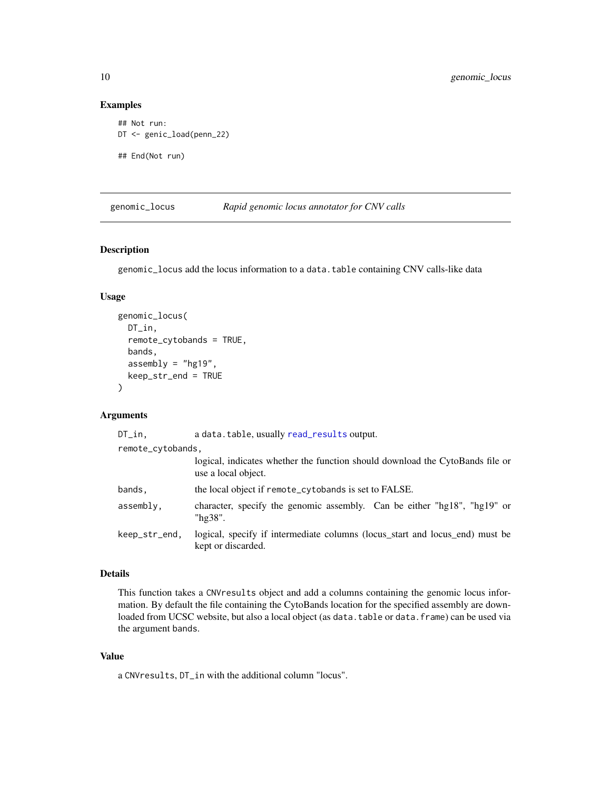#### Examples

```
## Not run:
DT <- genic_load(penn_22)
## End(Not run)
```
genomic\_locus *Rapid genomic locus annotator for CNV calls*

#### Description

genomic\_locus add the locus information to a data.table containing CNV calls-like data

#### Usage

```
genomic_locus(
 DT_in,
  remote_cytobands = TRUE,
 bands,
  assembly = "hg19",keep_str_end = TRUE
\lambda
```
#### Arguments

| $DT_in,$          | a data.table, usually read_results output.                                                           |  |
|-------------------|------------------------------------------------------------------------------------------------------|--|
| remote_cytobands, |                                                                                                      |  |
|                   | logical, indicates whether the function should download the CytoBands file or<br>use a local object. |  |
| bands,            | the local object if remote_cytobands is set to FALSE.                                                |  |
| assembly,         | character, specify the genomic assembly. Can be either "hg18", "hg19" or<br>"hg38".                  |  |
| keep_str_end,     | logical, specify if intermediate columns (locus_start and locus_end) must be<br>kept or discarded.   |  |

#### Details

This function takes a CNVresults object and add a columns containing the genomic locus information. By default the file containing the CytoBands location for the specified assembly are downloaded from UCSC website, but also a local object (as data.table or data.frame) can be used via the argument bands.

#### Value

a CNVresults, DT\_in with the additional column "locus".

<span id="page-9-0"></span>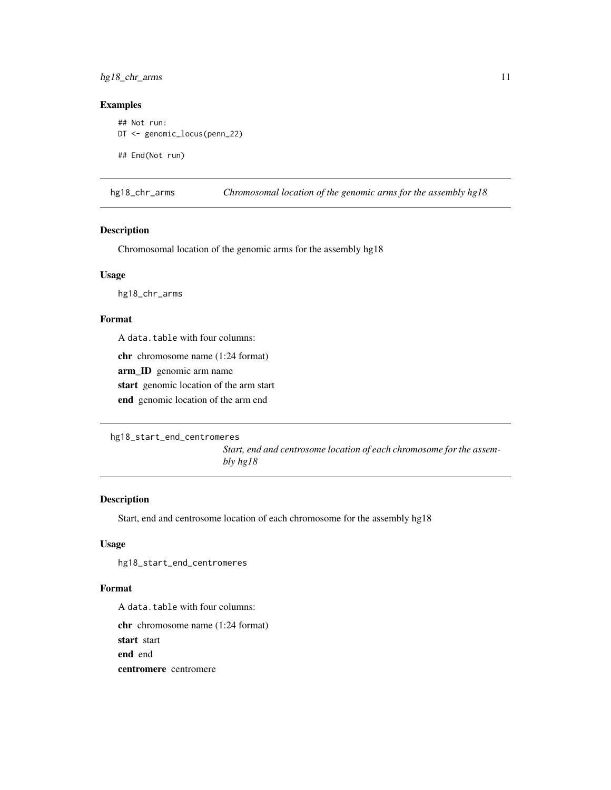#### <span id="page-10-0"></span>hg18\_chr\_arms 11

#### Examples

```
## Not run:
DT <- genomic_locus(penn_22)
## End(Not run)
```
hg18\_chr\_arms *Chromosomal location of the genomic arms for the assembly hg18*

#### Description

Chromosomal location of the genomic arms for the assembly hg18

#### Usage

hg18\_chr\_arms

#### Format

A data.table with four columns:

chr chromosome name (1:24 format)

arm\_ID genomic arm name

start genomic location of the arm start

end genomic location of the arm end

```
hg18_start_end_centromeres
```
*Start, end and centrosome location of each chromosome for the assembly hg18*

#### Description

Start, end and centrosome location of each chromosome for the assembly hg18

#### Usage

hg18\_start\_end\_centromeres

#### Format

A data.table with four columns:

chr chromosome name (1:24 format) start start end end

centromere centromere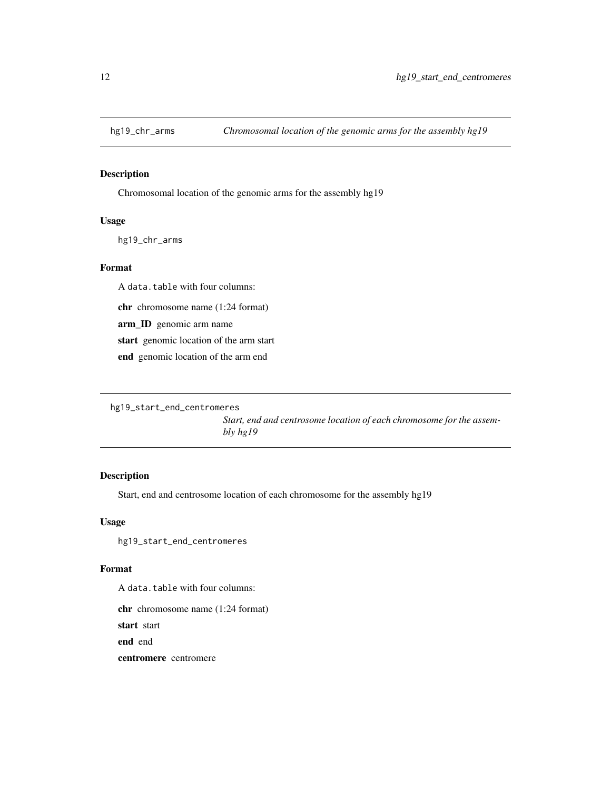<span id="page-11-0"></span>

Chromosomal location of the genomic arms for the assembly hg19

#### Usage

hg19\_chr\_arms

#### Format

A data.table with four columns:

chr chromosome name (1:24 format)

arm\_ID genomic arm name

start genomic location of the arm start

end genomic location of the arm end

```
hg19_start_end_centromeres
```
*Start, end and centrosome location of each chromosome for the assembly hg19*

#### Description

Start, end and centrosome location of each chromosome for the assembly hg19

#### Usage

hg19\_start\_end\_centromeres

#### Format

A data.table with four columns:

chr chromosome name (1:24 format)

start start

end end

centromere centromere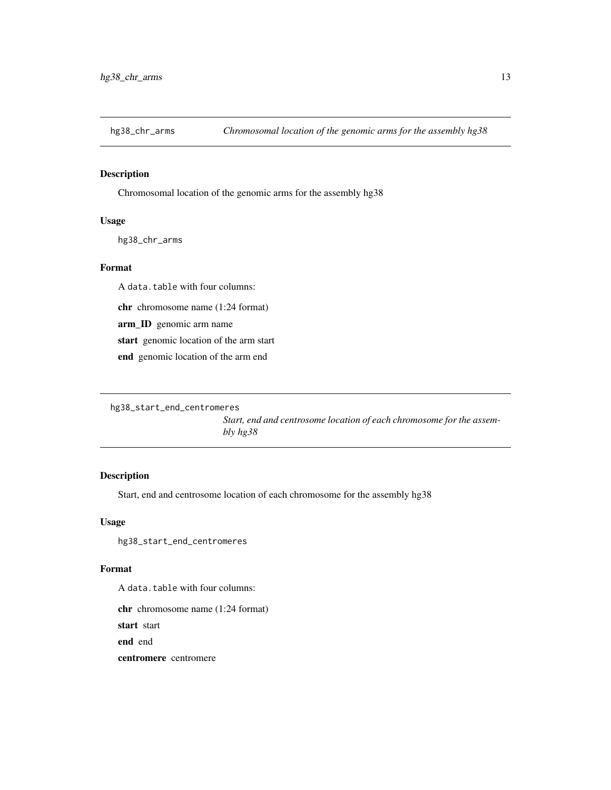<span id="page-12-0"></span>

Chromosomal location of the genomic arms for the assembly hg38

#### Usage

hg38\_chr\_arms

#### Format

A data.table with four columns:

chr chromosome name (1:24 format)

arm\_ID genomic arm name

start genomic location of the arm start

end genomic location of the arm end

```
hg38_start_end_centromeres
```
*Start, end and centrosome location of each chromosome for the assembly hg38*

#### Description

Start, end and centrosome location of each chromosome for the assembly hg38

#### Usage

hg38\_start\_end\_centromeres

#### Format

A data.table with four columns:

chr chromosome name (1:24 format)

start start

end end

centromere centromere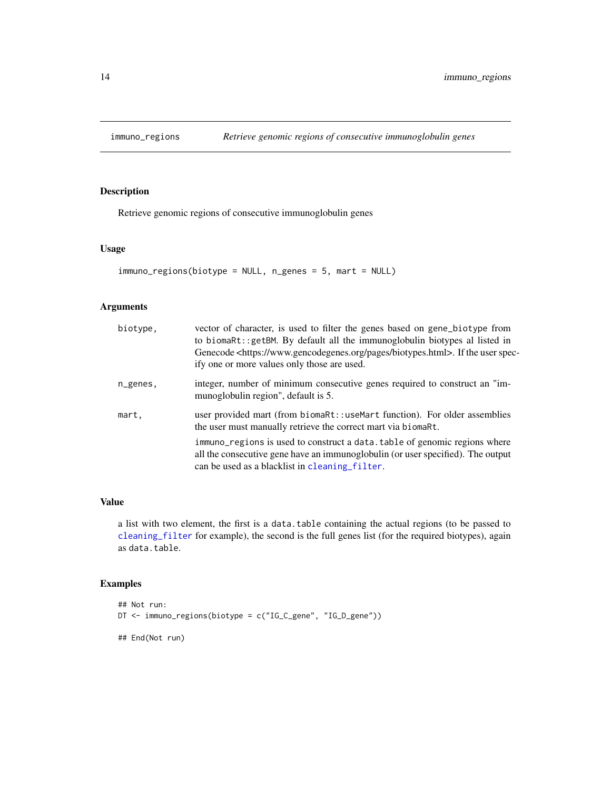<span id="page-13-1"></span><span id="page-13-0"></span>

Retrieve genomic regions of consecutive immunoglobulin genes

#### Usage

```
immuno_regions(biotype = NULL, n_genes = 5, mart = NULL)
```
#### Arguments

| biotype, | vector of character, is used to filter the genes based on gene_biotype from<br>to biomaRt:: getBM. By default all the immunoglobulin biotypes al listed in<br>Genecode <https: biotypes.html="" pages="" www.gencodegenes.org="">. If the user spec-<br/>ify one or more values only those are used.</https:> |
|----------|---------------------------------------------------------------------------------------------------------------------------------------------------------------------------------------------------------------------------------------------------------------------------------------------------------------|
| n_genes, | integer, number of minimum consecutive genes required to construct an "im-<br>munoglobulin region", default is 5.                                                                                                                                                                                             |
| mart,    | user provided mart (from biomaRt::useMart function). For older assemblies<br>the user must manually retrieve the correct mart via biomaret.                                                                                                                                                                   |
|          | immuno_regions is used to construct a data. table of genomic regions where<br>all the consecutive gene have an immunoglobulin (or user specified). The output<br>can be used as a blacklist in cleaning filter.                                                                                               |

#### Value

a list with two element, the first is a data.table containing the actual regions (to be passed to [cleaning\\_filter](#page-2-1) for example), the second is the full genes list (for the required biotypes), again as data.table.

#### Examples

```
## Not run:
DT <- immuno_regions(biotype = c("IG_C_gene", "IG_D_gene"))
## End(Not run)
```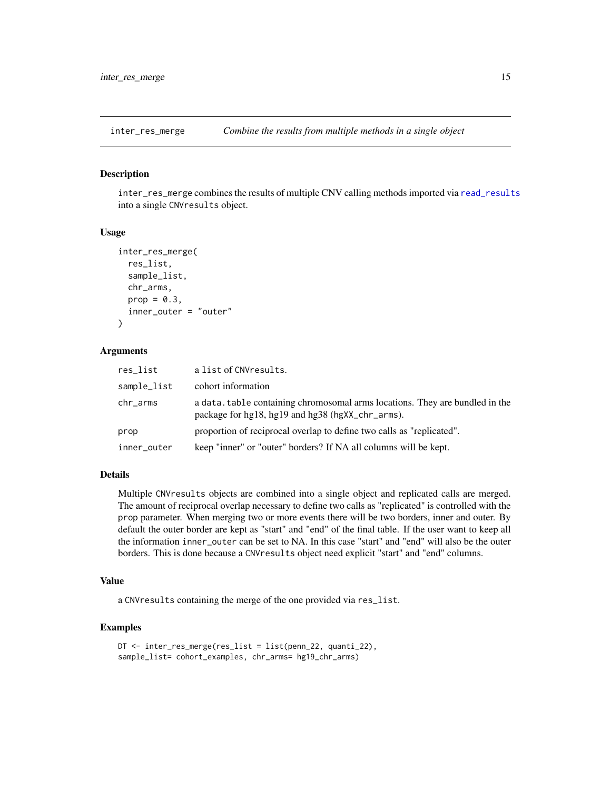<span id="page-14-1"></span><span id="page-14-0"></span>

inter\_res\_merge combines the results of multiple CNV calling methods imported via [read\\_results](#page-23-1) into a single CNVresults object.

#### Usage

```
inter_res_merge(
  res_list,
  sample_list,
  chr_arms,
 prop = 0.3,
  inner_outer = "outer"
)
```
#### Arguments

| res_list    | a list of CNVresults.                                                                                                            |
|-------------|----------------------------------------------------------------------------------------------------------------------------------|
| sample_list | cohort information                                                                                                               |
| chr_arms    | a data, table containing chromosomal arms locations. They are bundled in the<br>package for hg18, hg19 and hg38 (hgXX_chr_arms). |
| prop        | proportion of reciprocal overlap to define two calls as "replicated".                                                            |
| inner_outer | keep "inner" or "outer" borders? If NA all columns will be kept.                                                                 |

#### Details

Multiple CNVresults objects are combined into a single object and replicated calls are merged. The amount of reciprocal overlap necessary to define two calls as "replicated" is controlled with the prop parameter. When merging two or more events there will be two borders, inner and outer. By default the outer border are kept as "start" and "end" of the final table. If the user want to keep all the information inner\_outer can be set to NA. In this case "start" and "end" will also be the outer borders. This is done because a CNVresults object need explicit "start" and "end" columns.

#### Value

a CNVresults containing the merge of the one provided via res\_list.

#### Examples

```
DT <- inter_res_merge(res_list = list(penn_22, quanti_22),
sample_list= cohort_examples, chr_arms= hg19_chr_arms)
```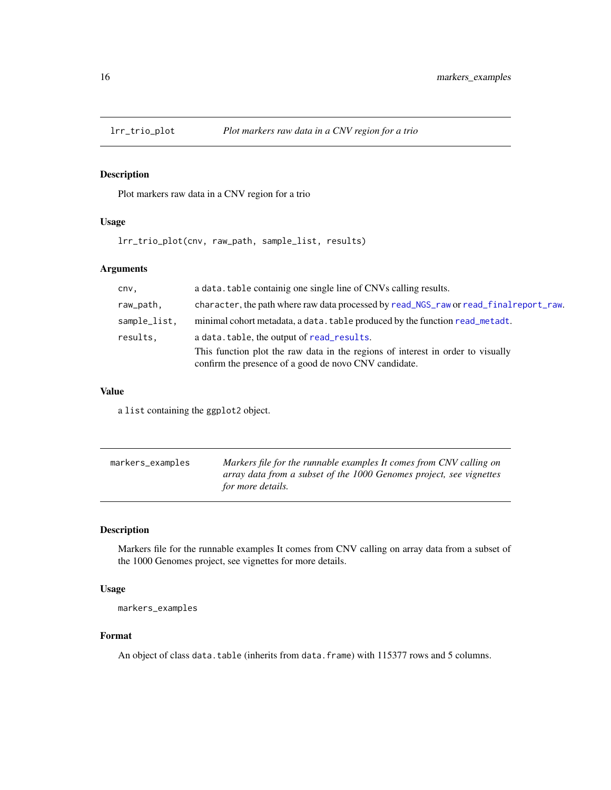<span id="page-15-0"></span>

Plot markers raw data in a CNV region for a trio

#### Usage

lrr\_trio\_plot(cnv, raw\_path, sample\_list, results)

#### Arguments

| cnv,         | a data. table containig one single line of CNVs calling results.                                                                         |
|--------------|------------------------------------------------------------------------------------------------------------------------------------------|
| raw_path,    | character, the path where raw data processed by read_NGS_raw or read_final report_raw.                                                   |
| sample_list. | minimal cohort metadata, a data. table produced by the function read_metadt.                                                             |
| results,     | a data. table, the output of read results.                                                                                               |
|              | This function plot the raw data in the regions of interest in order to visually<br>confirm the presence of a good de novo CNV candidate. |

#### Value

a list containing the ggplot2 object.

| markers_examples | Markers file for the runnable examples It comes from CNV calling on |
|------------------|---------------------------------------------------------------------|
|                  | array data from a subset of the 1000 Genomes project, see vignettes |
|                  | for more details.                                                   |

#### Description

Markers file for the runnable examples It comes from CNV calling on array data from a subset of the 1000 Genomes project, see vignettes for more details.

#### Usage

```
markers_examples
```
#### Format

An object of class data.table (inherits from data.frame) with 115377 rows and 5 columns.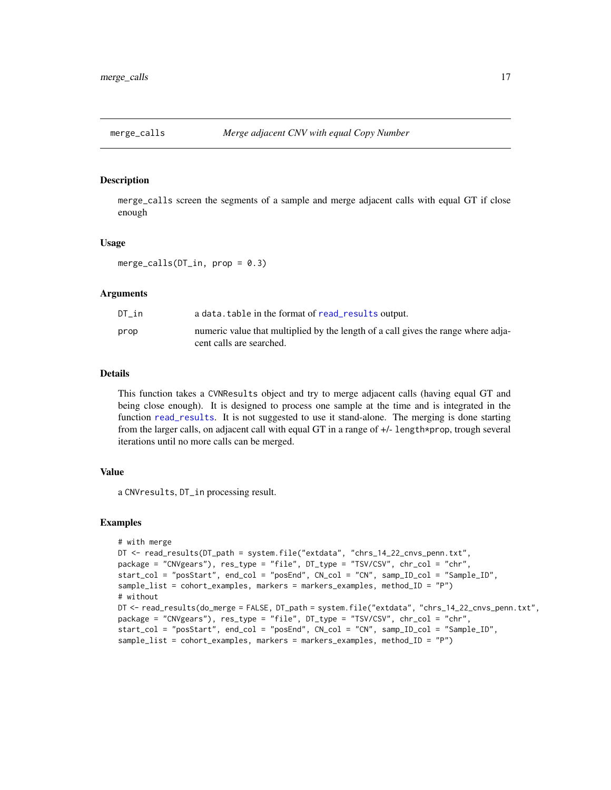<span id="page-16-1"></span><span id="page-16-0"></span>

merge\_calls screen the segments of a sample and merge adjacent calls with equal GT if close enough

#### Usage

merge\_calls( $DT_in$ , prop = 0.3)

#### Arguments

| DT in | a data. table in the format of read_results output.                                                           |
|-------|---------------------------------------------------------------------------------------------------------------|
| prop  | numeric value that multiplied by the length of a call gives the range where adja-<br>cent calls are searched. |

#### Details

This function takes a CVNResults object and try to merge adjacent calls (having equal GT and being close enough). It is designed to process one sample at the time and is integrated in the function [read\\_results](#page-23-1). It is not suggested to use it stand-alone. The merging is done starting from the larger calls, on adjacent call with equal GT in a range of +/- length\*prop, trough several iterations until no more calls can be merged.

#### Value

a CNVresults, DT\_in processing result.

#### Examples

```
# with merge
DT <- read_results(DT_path = system.file("extdata", "chrs_14_22_cnvs_penn.txt",
package = "CNVgears"), res_type = "file", DT_type = "TSV/CSV", chr_col = "chr",
start_col = "posStart", end_col = "posEnd", CN_col = "CN", samp_ID_col = "Sample_ID",
sample_list = cohort_examples, markers = markers_examples, method_ID = "P")
# without
DT <- read_results(do_merge = FALSE, DT_path = system.file("extdata", "chrs_14_22_cnvs_penn.txt",
package = "CNVgears"), res_type = "file", DT_type = "TSV/CSV", chr_col = "chr",
start_col = "posStart", end_col = "posEnd", CN_col = "CN", samp_ID_col = "Sample_ID",
sample_list = cohort_examples, markers = markers_examples, method_ID = "P")
```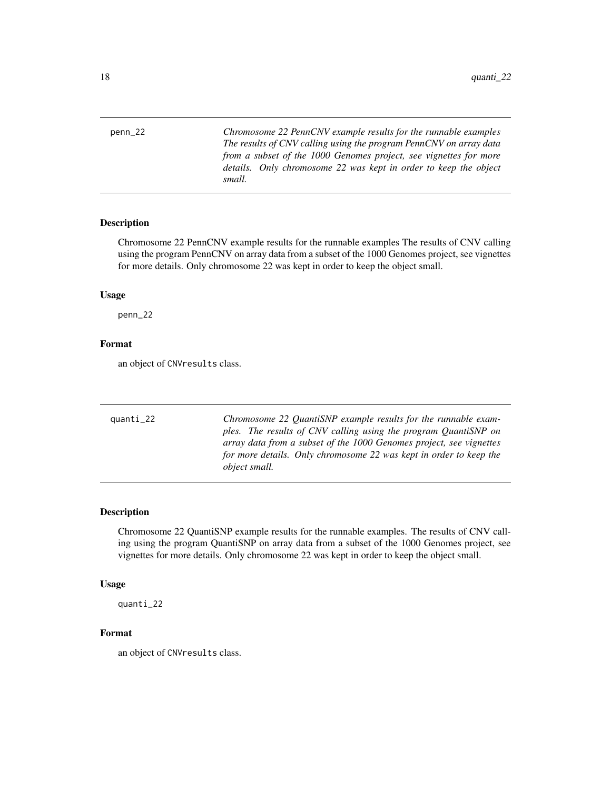<span id="page-17-0"></span>penn\_22 *Chromosome 22 PennCNV example results for the runnable examples The results of CNV calling using the program PennCNV on array data from a subset of the 1000 Genomes project, see vignettes for more details. Only chromosome 22 was kept in order to keep the object small.*

#### Description

Chromosome 22 PennCNV example results for the runnable examples The results of CNV calling using the program PennCNV on array data from a subset of the 1000 Genomes project, see vignettes for more details. Only chromosome 22 was kept in order to keep the object small.

#### Usage

penn\_22

#### Format

an object of CNVresults class.

| quanti_22 | Chromosome 22 OuantiSNP example results for the runnable exam-      |
|-----------|---------------------------------------------------------------------|
|           | ples. The results of CNV calling using the program QuantiSNP on     |
|           | array data from a subset of the 1000 Genomes project, see vignettes |
|           | for more details. Only chromosome 22 was kept in order to keep the  |
|           | <i>object small.</i>                                                |
|           |                                                                     |

#### Description

Chromosome 22 QuantiSNP example results for the runnable examples. The results of CNV calling using the program QuantiSNP on array data from a subset of the 1000 Genomes project, see vignettes for more details. Only chromosome 22 was kept in order to keep the object small.

#### Usage

quanti\_22

#### Format

an object of CNVresults class.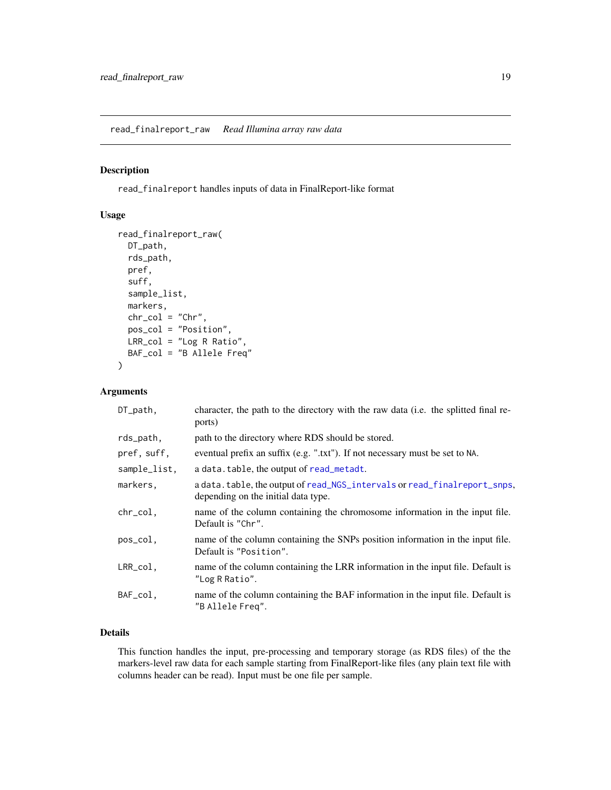<span id="page-18-1"></span><span id="page-18-0"></span>read\_finalreport\_raw *Read Illumina array raw data*

#### Description

read\_finalreport handles inputs of data in FinalReport-like format

#### Usage

```
read_finalreport_raw(
 DT_path,
  rds_path,
 pref,
  suff,
  sample_list,
 markers,
 chr\_col = "Chr",pos_col = "Position",
 LRR_col = "Log R Ratio",
 BAF_col = "B Allele Freq"
)
```
#### Arguments

| $DT$ -path,   | character, the path to the directory with the raw data (i.e. the splitted final re-<br>ports)                   |
|---------------|-----------------------------------------------------------------------------------------------------------------|
| rds_path,     | path to the directory where RDS should be stored.                                                               |
| pref, suff,   | eventual prefix an suffix (e.g. ".txt"). If not necessary must be set to NA.                                    |
| sample_list,  | a data.table, the output of read_metadt.                                                                        |
| markers,      | a data.table, the output of read_NGS_intervals or read_finalreport_snps,<br>depending on the initial data type. |
| chr_col,      | name of the column containing the chromosome information in the input file.<br>Default is "Chr".                |
| pos_col,      | name of the column containing the SNPs position information in the input file.<br>Default is "Position".        |
| $LRR_{col}$ , | name of the column containing the LRR information in the input file. Default is<br>"Log R Ratio".               |
| BAF_col,      | name of the column containing the BAF information in the input file. Default is<br>"B Allele Freq".             |

#### Details

This function handles the input, pre-processing and temporary storage (as RDS files) of the the markers-level raw data for each sample starting from FinalReport-like files (any plain text file with columns header can be read). Input must be one file per sample.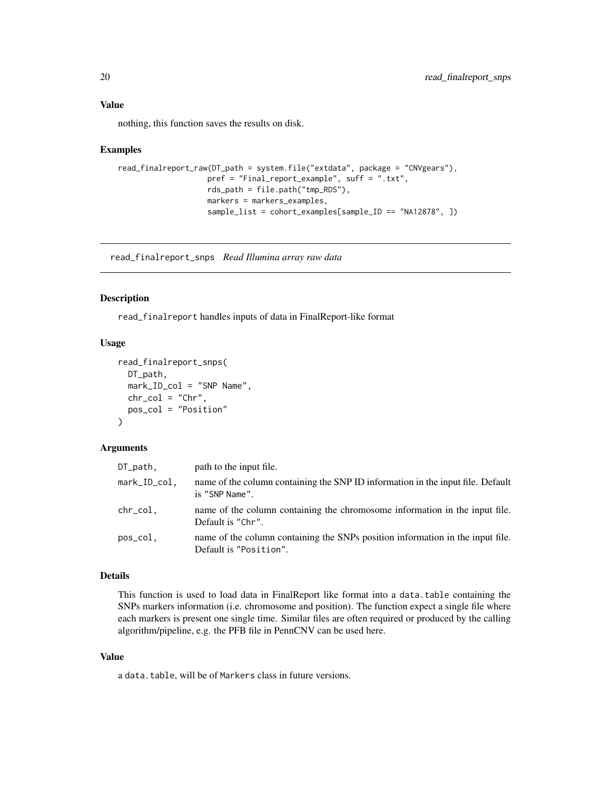<span id="page-19-0"></span>nothing, this function saves the results on disk.

#### Examples

```
read_finalreport_raw(DT_path = system.file("extdata", package = "CNVgears"),
                   pref = "Final_report_example", suff = ".txt",
                    rds_path = file.path("tmp_RDS"),
                   markers = markers_examples,
                    sample_list = cohort_examples[sample_ID == "NA12878", ])
```
<span id="page-19-1"></span>read\_finalreport\_snps *Read Illumina array raw data*

#### Description

read\_finalreport handles inputs of data in FinalReport-like format

#### Usage

```
read_finalreport_snps(
 DT_path,
 mark_ID_col = "SNP Name",
 chr_{col} = "Chr",pos_col = "Position"
)
```
#### Arguments

| $DT$ _path,  | path to the input file.                                                                                  |
|--------------|----------------------------------------------------------------------------------------------------------|
| mark_ID_col, | name of the column containing the SNP ID information in the input file. Default<br>is "SNP Name".        |
| chr_col,     | name of the column containing the chromosome information in the input file.<br>Default is "Chr".         |
| pos_col.     | name of the column containing the SNPs position information in the input file.<br>Default is "Position". |

## Details

This function is used to load data in FinalReport like format into a data.table containing the SNPs markers information (i.e. chromosome and position). The function expect a single file where each markers is present one single time. Similar files are often required or produced by the calling algorithm/pipeline, e.g. the PFB file in PennCNV can be used here.

#### Value

a data.table, will be of Markers class in future versions.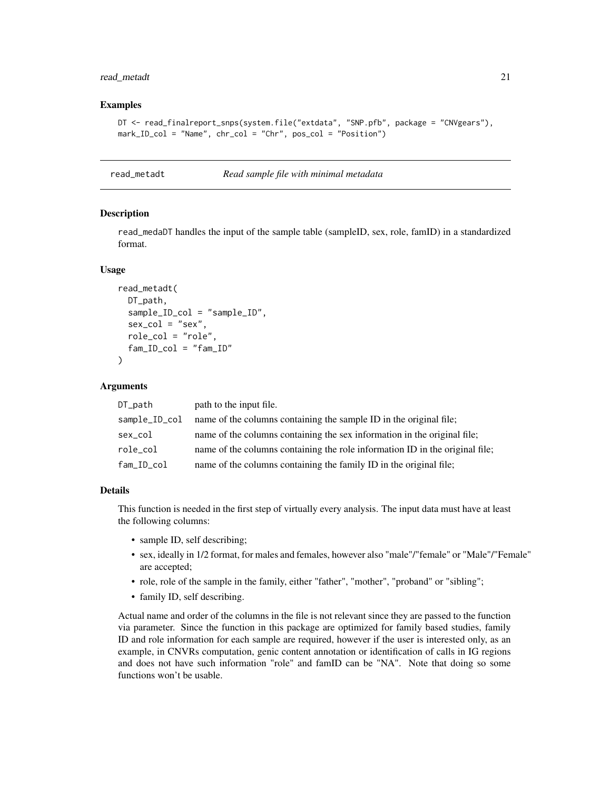#### <span id="page-20-0"></span>read\_metadt 21

#### Examples

```
DT <- read_finalreport_snps(system.file("extdata", "SNP.pfb", package = "CNVgears"),
mark_ID_col = "Name", chr_col = "Chr", pos_col = "Position")
```
<span id="page-20-1"></span>read\_metadt *Read sample file with minimal metadata*

#### Description

read\_medaDT handles the input of the sample table (sampleID, sex, role, famID) in a standardized format.

#### Usage

```
read_metadt(
  DT_path,
  sample_ID_col = "sample_ID",
  sex\_col = "sex",role_col = "role",
  fam\_ID\_col = "fam\_ID")
```
#### Arguments

| DT_path       | path to the input file.                                                      |
|---------------|------------------------------------------------------------------------------|
| sample_ID_col | name of the columns containing the sample ID in the original file;           |
| sex_col       | name of the columns containing the sex information in the original file;     |
| role_col      | name of the columns containing the role information ID in the original file; |
| fam_ID_col    | name of the columns containing the family ID in the original file;           |

#### Details

This function is needed in the first step of virtually every analysis. The input data must have at least the following columns:

- sample ID, self describing;
- sex, ideally in 1/2 format, for males and females, however also "male"/"female" or "Male"/"Female" are accepted;
- role, role of the sample in the family, either "father", "mother", "proband" or "sibling";
- family ID, self describing.

Actual name and order of the columns in the file is not relevant since they are passed to the function via parameter. Since the function in this package are optimized for family based studies, family ID and role information for each sample are required, however if the user is interested only, as an example, in CNVRs computation, genic content annotation or identification of calls in IG regions and does not have such information "role" and famID can be "NA". Note that doing so some functions won't be usable.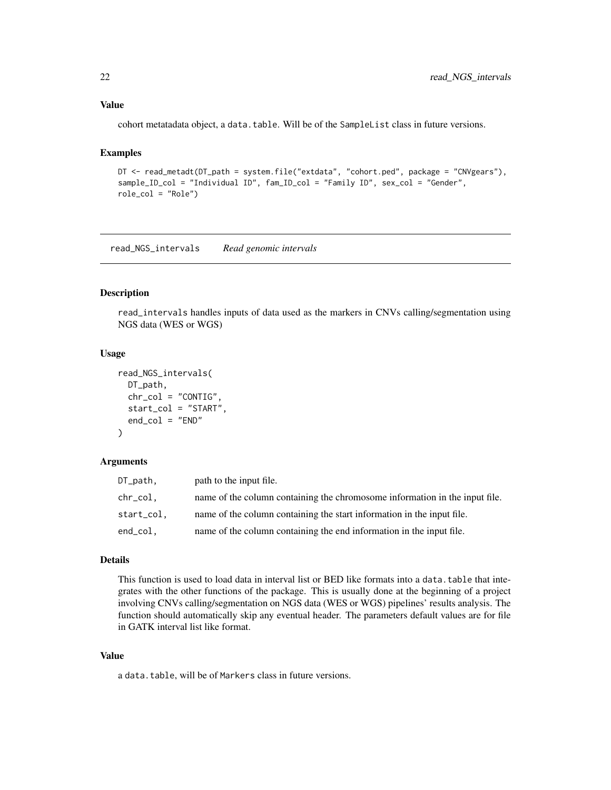#### <span id="page-21-0"></span>Value

cohort metatadata object, a data.table. Will be of the SampleList class in future versions.

#### Examples

```
DT <- read_metadt(DT_path = system.file("extdata", "cohort.ped", package = "CNVgears"),
sample_ID_col = "Individual ID", fam_ID_col = "Family ID", sex_col = "Gender",
role_col = "Role")
```
<span id="page-21-1"></span>read\_NGS\_intervals *Read genomic intervals*

#### Description

read\_intervals handles inputs of data used as the markers in CNVs calling/segmentation using NGS data (WES or WGS)

#### Usage

```
read_NGS_intervals(
 DT_path,
  chr_{col} = "CONTIG",start_col = "START",
  end_{col} = "END"
)
```
#### Arguments

| DT_path,   | path to the input file.                                                     |
|------------|-----------------------------------------------------------------------------|
| chr_col.   | name of the column containing the chromosome information in the input file. |
| start_col. | name of the column containing the start information in the input file.      |
| end_col,   | name of the column containing the end information in the input file.        |

#### Details

This function is used to load data in interval list or BED like formats into a data.table that integrates with the other functions of the package. This is usually done at the beginning of a project involving CNVs calling/segmentation on NGS data (WES or WGS) pipelines' results analysis. The function should automatically skip any eventual header. The parameters default values are for file in GATK interval list like format.

#### Value

a data.table, will be of Markers class in future versions.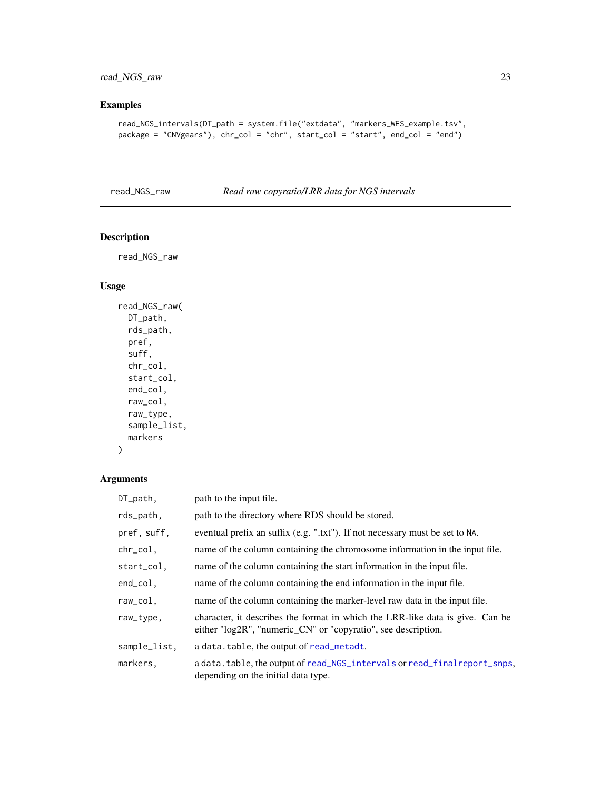## <span id="page-22-0"></span>Examples

```
read_NGS_intervals(DT_path = system.file("extdata", "markers_WES_example.tsv",
package = "CNVgears"), chr_col = "chr", start_col = "start", end_col = "end")
```
<span id="page-22-1"></span>read\_NGS\_raw *Read raw copyratio/LRR data for NGS intervals*

#### Description

read\_NGS\_raw

#### Usage

```
read_NGS_raw(
 DT_path,
 rds_path,
 pref,
 suff,
 chr_col,
  start_col,
  end_col,
 raw_col,
 raw_type,
  sample_list,
 markers
)
```
#### Arguments

| DT_path,     | path to the input file.                                                                                                                        |
|--------------|------------------------------------------------------------------------------------------------------------------------------------------------|
| rds_path,    | path to the directory where RDS should be stored.                                                                                              |
| pref, suff,  | eventual prefix an suffix (e.g. ".txt"). If not necessary must be set to NA.                                                                   |
| chr_col,     | name of the column containing the chromosome information in the input file.                                                                    |
| start_col,   | name of the column containing the start information in the input file.                                                                         |
| end_col,     | name of the column containing the end information in the input file.                                                                           |
| raw_col,     | name of the column containing the marker-level raw data in the input file.                                                                     |
| raw_type,    | character, it describes the format in which the LRR-like data is give. Can be<br>either "log2R", "numeric_CN" or "copyratio", see description. |
| sample_list, | a data. table, the output of read_metadt.                                                                                                      |
| markers,     | a data.table, the output of read_NGS_intervals or read_finalreport_snps,<br>depending on the initial data type.                                |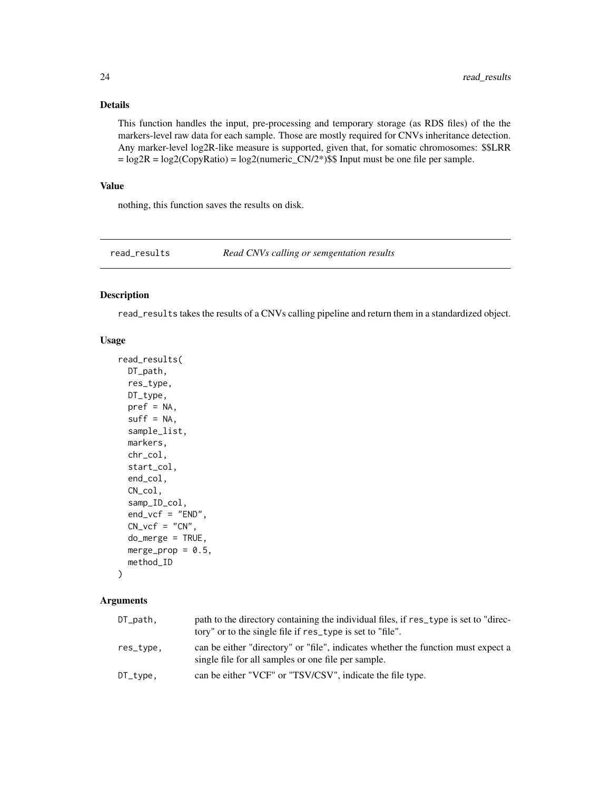#### <span id="page-23-0"></span>Details

This function handles the input, pre-processing and temporary storage (as RDS files) of the the markers-level raw data for each sample. Those are mostly required for CNVs inheritance detection. Any marker-level log2R-like measure is supported, given that, for somatic chromosomes: \$\$LRR  $= \log 2R = \log 2(CopyRatio) = \log 2(numeric_CN/2*)$ \$\$ Input must be one file per sample.

#### Value

nothing, this function saves the results on disk.

<span id="page-23-1"></span>read\_results *Read CNVs calling or semgentation results*

#### Description

read\_results takes the results of a CNVs calling pipeline and return them in a standardized object.

#### Usage

```
read_results(
 DT_path,
 res_type,
 DT_type,
  pref = NA,suff = NA,
  sample_list,
 markers,
  chr_col,
  start_col,
  end_col,
 CN_col,
  samp_ID_col,
  end_vcf = "END",CN_vcf = "CN",do_merge = TRUE,
 merge_prop = 0.5,
 method_ID
```
#### )

#### Arguments

| $DT$ _path, | path to the directory containing the individual files, if res_type is set to "direc-<br>tory" or to the single file if res_type is set to "file". |
|-------------|---------------------------------------------------------------------------------------------------------------------------------------------------|
| res_type,   | can be either "directory" or "file", indicates whether the function must expect a<br>single file for all samples or one file per sample.          |
| $DT_type$ , | can be either "VCF" or "TSV/CSV", indicate the file type.                                                                                         |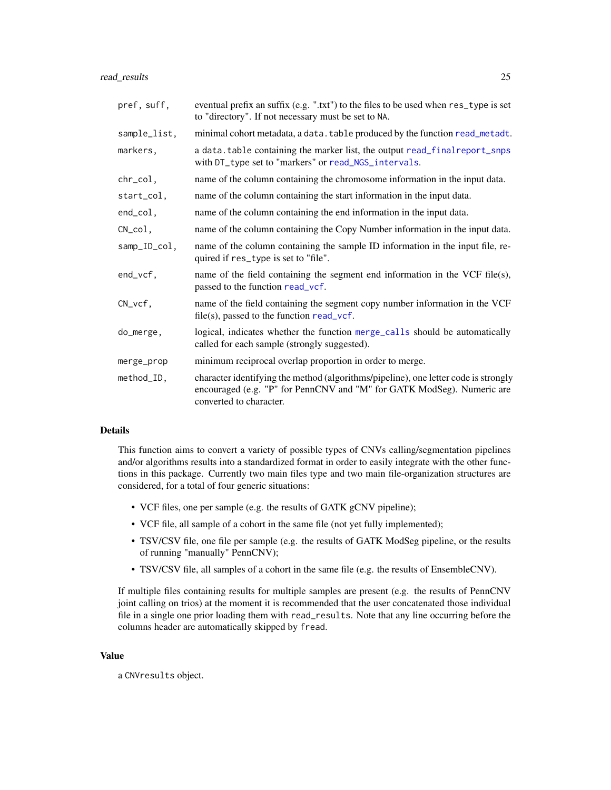<span id="page-24-0"></span>read\_results 25

| pref, suff,  | eventual prefix an suffix (e.g. ".txt") to the files to be used when res_type is set<br>to "directory". If not necessary must be set to NA.                                              |
|--------------|------------------------------------------------------------------------------------------------------------------------------------------------------------------------------------------|
| sample_list, | minimal cohort metadata, a data. table produced by the function read_metadt.                                                                                                             |
| markers,     | a data. table containing the marker list, the output read_finalreport_snps<br>with DT_type set to "markers" or read_NGS_intervals.                                                       |
| chr_col,     | name of the column containing the chromosome information in the input data.                                                                                                              |
| start_col,   | name of the column containing the start information in the input data.                                                                                                                   |
| end_col,     | name of the column containing the end information in the input data.                                                                                                                     |
| $CN_{col}$ , | name of the column containing the Copy Number information in the input data.                                                                                                             |
| samp_ID_col, | name of the column containing the sample ID information in the input file, re-<br>quired if res_type is set to "file".                                                                   |
| end_vcf,     | name of the field containing the segment end information in the VCF file $(s)$ ,<br>passed to the function read_vcf.                                                                     |
| $CN_vcf,$    | name of the field containing the segment copy number information in the VCF<br>$file(s)$ , passed to the function read_vcf.                                                              |
| do_merge,    | logical, indicates whether the function merge_calls should be automatically<br>called for each sample (strongly suggested).                                                              |
| merge_prop   | minimum reciprocal overlap proportion in order to merge.                                                                                                                                 |
| method_ID,   | character identifying the method (algorithms/pipeline), one letter code is strongly<br>encouraged (e.g. "P" for PennCNV and "M" for GATK ModSeg). Numeric are<br>converted to character. |

#### Details

This function aims to convert a variety of possible types of CNVs calling/segmentation pipelines and/or algorithms results into a standardized format in order to easily integrate with the other functions in this package. Currently two main files type and two main file-organization structures are considered, for a total of four generic situations:

- VCF files, one per sample (e.g. the results of GATK gCNV pipeline);
- VCF file, all sample of a cohort in the same file (not yet fully implemented);
- TSV/CSV file, one file per sample (e.g. the results of GATK ModSeg pipeline, or the results of running "manually" PennCNV);
- TSV/CSV file, all samples of a cohort in the same file (e.g. the results of EnsembleCNV).

If multiple files containing results for multiple samples are present (e.g. the results of PennCNV joint calling on trios) at the moment it is recommended that the user concatenated those individual file in a single one prior loading them with read\_results. Note that any line occurring before the columns header are automatically skipped by fread.

#### Value

a CNVresults object.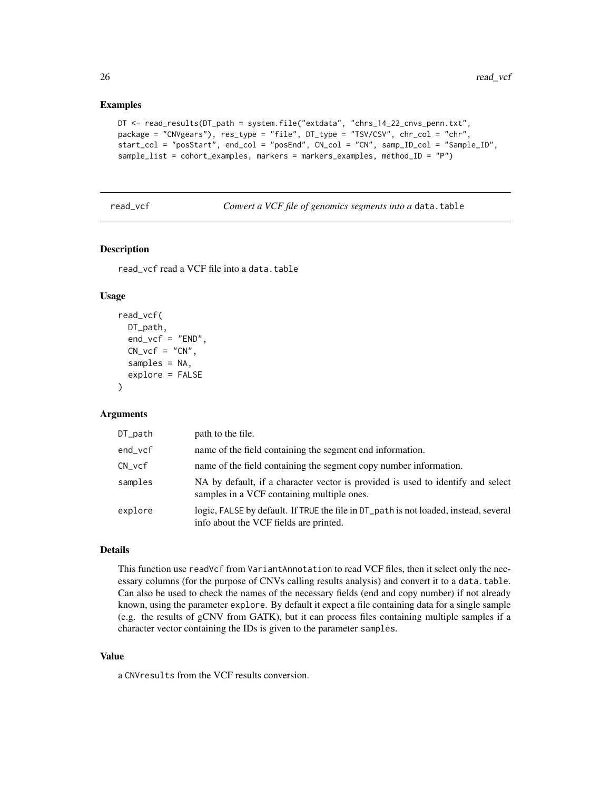#### Examples

```
DT <- read_results(DT_path = system.file("extdata", "chrs_14_22_cnvs_penn.txt",
package = "CNVgears"), res_type = "file", DT_type = "TSV/CSV", chr_col = "chr",
start_col = "posStart", end_col = "posEnd", CN_col = "CN", samp_ID_col = "Sample_ID",
sample_list = cohort_examples, markers = markers_examples, method_ID = "P")
```
<span id="page-25-1"></span>read\_vcf *Convert a VCF file of genomics segments into a* data.table

#### **Description**

read\_vcf read a VCF file into a data.table

#### Usage

```
read_vcf(
 DT_path,
  end\_vcf = "END",CN_vcf = "CN",samples = NA,
  explore = FALSE
)
```
#### Arguments

| DT_path  | path to the file.                                                                                                              |
|----------|--------------------------------------------------------------------------------------------------------------------------------|
| end_vcf  | name of the field containing the segment end information.                                                                      |
| $CN_vcf$ | name of the field containing the segment copy number information.                                                              |
| samples  | NA by default, if a character vector is provided is used to identify and select<br>samples in a VCF containing multiple ones.  |
| explore  | logic, FALSE by default. If TRUE the file in DT_path is not loaded, instead, several<br>info about the VCF fields are printed. |

#### Details

This function use readVcf from VariantAnnotation to read VCF files, then it select only the necessary columns (for the purpose of CNVs calling results analysis) and convert it to a data.table. Can also be used to check the names of the necessary fields (end and copy number) if not already known, using the parameter explore. By default it expect a file containing data for a single sample (e.g. the results of gCNV from GATK), but it can process files containing multiple samples if a character vector containing the IDs is given to the parameter samples.

#### Value

a CNVresults from the VCF results conversion.

<span id="page-25-0"></span>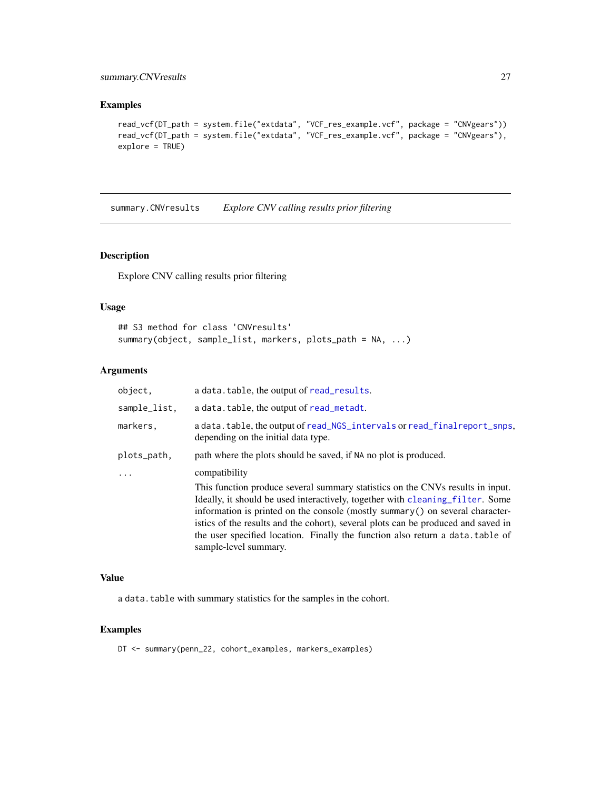#### <span id="page-26-0"></span>summary.CNVresults 27

#### Examples

```
read_vcf(DT_path = system.file("extdata", "VCF_res_example.vcf", package = "CNVgears"))
read_vcf(DT_path = system.file("extdata", "VCF_res_example.vcf", package = "CNVgears"),
explore = TRUE)
```
summary.CNVresults *Explore CNV calling results prior filtering*

#### Description

Explore CNV calling results prior filtering

#### Usage

```
## S3 method for class 'CNVresults'
summary(object, sample_list, markers, plots_path = NA, ...)
```
#### Arguments

| object,      | a data.table, the output of read_results.                                                                                                                                                                                                                                                                                                                                                                                                        |
|--------------|--------------------------------------------------------------------------------------------------------------------------------------------------------------------------------------------------------------------------------------------------------------------------------------------------------------------------------------------------------------------------------------------------------------------------------------------------|
| sample_list. | a data. table, the output of read_metadt.                                                                                                                                                                                                                                                                                                                                                                                                        |
| markers.     | a data.table, the output of read_NGS_intervals or read_finalreport_snps,<br>depending on the initial data type.                                                                                                                                                                                                                                                                                                                                  |
| plots_path,  | path where the plots should be saved, if NA no plot is produced.                                                                                                                                                                                                                                                                                                                                                                                 |
| $\ddots$     | compatibility                                                                                                                                                                                                                                                                                                                                                                                                                                    |
|              | This function produce several summary statistics on the CNVs results in input.<br>Ideally, it should be used interactively, together with cleaning filter. Some<br>information is printed on the console (mostly summary() on several character-<br>istics of the results and the cohort), several plots can be produced and saved in<br>the user specified location. Finally the function also return a data, table of<br>sample-level summary. |

#### Value

a data.table with summary statistics for the samples in the cohort.

#### Examples

DT <- summary(penn\_22, cohort\_examples, markers\_examples)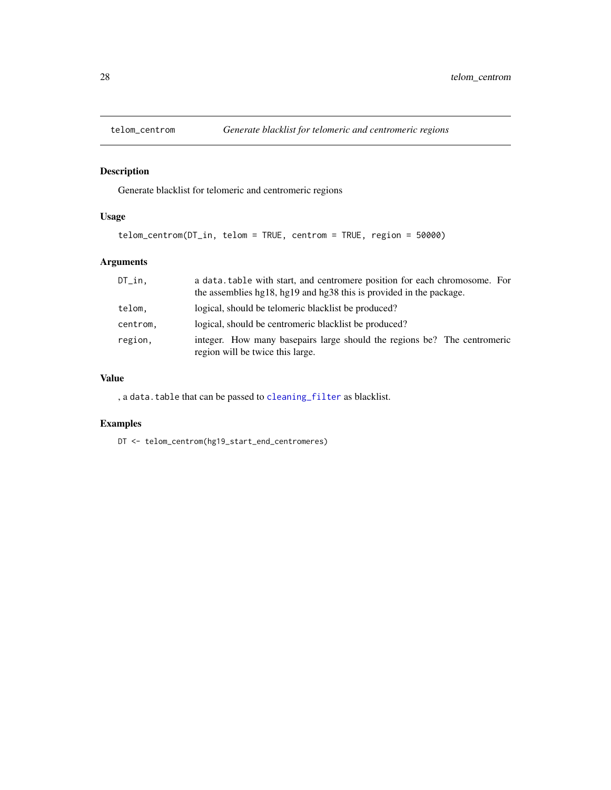<span id="page-27-1"></span><span id="page-27-0"></span>

Generate blacklist for telomeric and centromeric regions

#### Usage

```
telom_centrom(DT_in, telom = TRUE, centrom = TRUE, region = 50000)
```
#### Arguments

| $DT\_in$ . | a data, table with start, and centromere position for each chromosome. For<br>the assemblies hg18, hg19 and hg38 this is provided in the package. |
|------------|---------------------------------------------------------------------------------------------------------------------------------------------------|
| telom.     | logical, should be telomeric blacklist be produced?                                                                                               |
| centrom,   | logical, should be centromeric blacklist be produced?                                                                                             |
| region.    | integer. How many basepairs large should the regions be? The centromeric<br>region will be twice this large.                                      |

#### Value

, a data.table that can be passed to [cleaning\\_filter](#page-2-1) as blacklist.

## Examples

DT <- telom\_centrom(hg19\_start\_end\_centromeres)